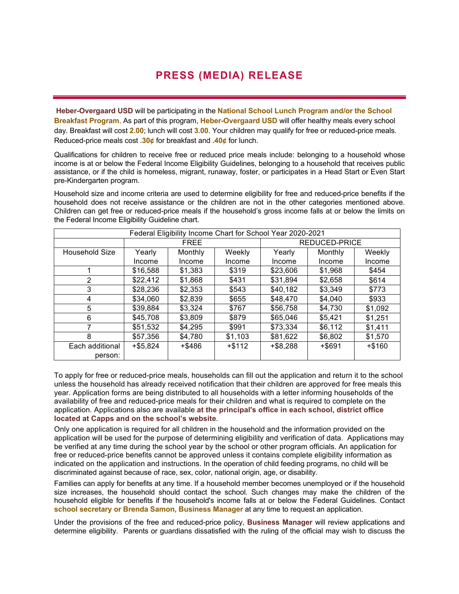## **PRESS (MEDIA) RELEASE**

**Heber-Overgaard USD** will be participating in the **National School Lunch Program and/or the School Breakfast Program**. As part of this program, **Heber-Overgaard USD** will offer healthy meals every school day. Breakfast will cost **2.00**; lunch will cost **3.00**. Your children may qualify for free or reduced-price meals. Reduced-price meals cost **.30¢** for breakfast and **.40¢** for lunch.

Qualifications for children to receive free or reduced price meals include: belonging to a household whose income is at or below the Federal Income Eligibility Guidelines, belonging to a household that receives public assistance, or if the child is homeless, migrant, runaway, foster, or participates in a Head Start or Even Start pre-Kindergarten program.

Household size and income criteria are used to determine eligibility for free and reduced-price benefits if the household does not receive assistance or the children are not in the other categories mentioned above. Children can get free or reduced-price meals if the household's gross income falls at or below the limits on the Federal Income Eligibility Guideline chart.

| Federal Eligibility Income Chart for School Year 2020-2021 |             |         |           |               |         |           |
|------------------------------------------------------------|-------------|---------|-----------|---------------|---------|-----------|
|                                                            | <b>FREE</b> |         |           | REDUCED-PRICE |         |           |
| Household Size                                             | Yearly      | Monthly | Weekly    | Yearly        | Monthly | Weekly    |
|                                                            | Income      | Income  | Income    | Income        | Income  | Income    |
|                                                            | \$16,588    | \$1,383 | \$319     | \$23,606      | \$1,968 | \$454     |
| 2                                                          | \$22,412    | \$1,868 | \$431     | \$31,894      | \$2,658 | \$614     |
| 3                                                          | \$28,236    | \$2,353 | \$543     | \$40,182      | \$3,349 | \$773     |
| 4                                                          | \$34,060    | \$2,839 | \$655     | \$48,470      | \$4,040 | \$933     |
| 5                                                          | \$39,884    | \$3,324 | \$767     | \$56,758      | \$4,730 | \$1,092   |
| 6                                                          | \$45,708    | \$3,809 | \$879     | \$65,046      | \$5.421 | \$1,251   |
|                                                            | \$51,532    | \$4,295 | \$991     | \$73,334      | \$6,112 | \$1,411   |
| 8                                                          | \$57,356    | \$4,780 | \$1,103   | \$81,622      | \$6,802 | \$1,570   |
| Each additional                                            | $+ $5,824$  | +\$486  | $+$ \$112 | $+$ \$8.288   | +\$691  | $+$ \$160 |
| person:                                                    |             |         |           |               |         |           |

To apply for free or reduced-price meals, households can fill out the application and return it to the school unless the household has already received notification that their children are approved for free meals this year. Application forms are being distributed to all households with a letter informing households of the availability of free and reduced-price meals for their children and what is required to complete on the application. Applications also are available **at the principal's office in each school, district office located at Capps and on the school's website**.

Only one application is required for all children in the household and the information provided on the application will be used for the purpose of determining eligibility and verification of data. Applications may be verified at any time during the school year by the school or other program officials. An application for free or reduced-price benefits cannot be approved unless it contains complete eligibility information as indicated on the application and instructions. In the operation of child feeding programs, no child will be discriminated against because of race, sex, color, national origin, age, or disability.

Families can apply for benefits at any time. If a household member becomes unemployed or if the household size increases, the household should contact the school. Such changes may make the children of the household eligible for benefits if the household's income falls at or below the Federal Guidelines. Contact **school secretary or Brenda Samon, Business Manager** at any time to request an application.

Under the provisions of the free and reduced-price policy, **Business Manager** will review applications and determine eligibility. Parents or guardians dissatisfied with the ruling of the official may wish to discuss the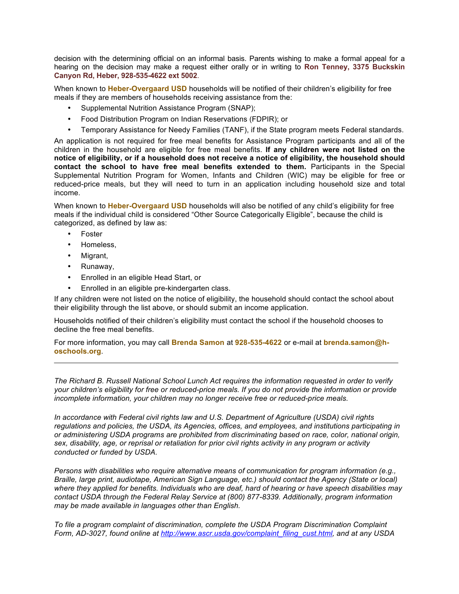decision with the determining official on an informal basis. Parents wishing to make a formal appeal for a hearing on the decision may make a request either orally or in writing to **Ron Tenney, 3375 Buckskin Canyon Rd, Heber, 928-535-4622 ext 5002**.

When known to **Heber-Overgaard USD** households will be notified of their children's eligibility for free meals if they are members of households receiving assistance from the:

- Supplemental Nutrition Assistance Program (SNAP);
- Food Distribution Program on Indian Reservations (FDPIR); or
- Temporary Assistance for Needy Families (TANF), if the State program meets Federal standards.

An application is not required for free meal benefits for Assistance Program participants and all of the children in the household are eligible for free meal benefits. **If any children were not listed on the notice of eligibility, or if a household does not receive a notice of eligibility, the household should contact the school to have free meal benefits extended to them.** Participants in the Special Supplemental Nutrition Program for Women, Infants and Children (WIC) may be eligible for free or reduced-price meals, but they will need to turn in an application including household size and total income.

When known to **Heber-Overgaard USD** households will also be notified of any child's eligibility for free meals if the individual child is considered "Other Source Categorically Eligible", because the child is categorized, as defined by law as:

- **Foster**
- Homeless,
- Migrant,
- Runaway,
- Enrolled in an eligible Head Start, or
- Enrolled in an eligible pre-kindergarten class.

If any children were not listed on the notice of eligibility, the household should contact the school about their eligibility through the list above, or should submit an income application.

Households notified of their children's eligibility must contact the school if the household chooses to decline the free meal benefits.

For more information, you may call **Brenda Samon** at **928-535-4622** or e-mail at **brenda.samon@hoschools.org**.

*The Richard B. Russell National School Lunch Act requires the information requested in order to verify your children's eligibility for free or reduced-price meals. If you do not provide the information or provide incomplete information, your children may no longer receive free or reduced-price meals.* 

*In accordance with Federal civil rights law and U.S. Department of Agriculture (USDA) civil rights regulations and policies, the USDA, its Agencies, offices, and employees, and institutions participating in or administering USDA programs are prohibited from discriminating based on race, color, national origin, sex, disability, age, or reprisal or retaliation for prior civil rights activity in any program or activity conducted or funded by USDA.*

*Persons with disabilities who require alternative means of communication for program information (e.g., Braille, large print, audiotape, American Sign Language, etc.) should contact the Agency (State or local) where they applied for benefits. Individuals who are deaf, hard of hearing or have speech disabilities may contact USDA through the Federal Relay Service at (800) 877-8339. Additionally, program information may be made available in languages other than English.*

*To file a program complaint of discrimination, complete the USDA Program Discrimination Complaint Form, AD-3027, found online at http://www.ascr.usda.gov/complaint\_filing\_cust.html, and at any USDA*